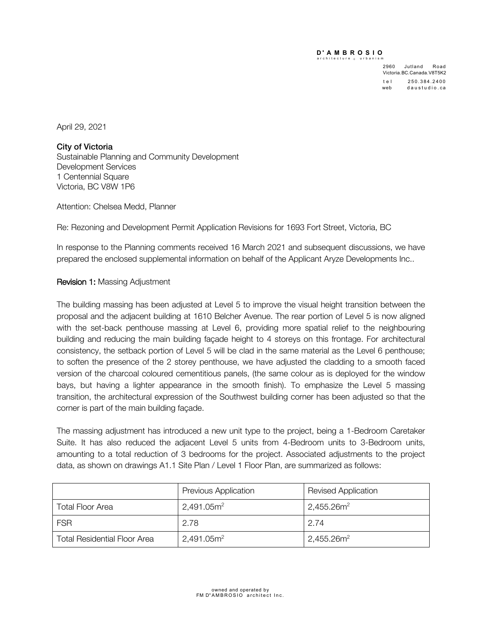## **D ' AMBROSIO PACER**

architecture  $+$  urbanism

2960 Jutland Road Victoria.BC.Canada.V8T5K2 tel 250.384.2400<br>web daustudio.ca daustudio.ca

April 29, 2021

City of Victoria Sustainable Planning and Community Development Development Services 1 Centennial Square Victoria, BC V8W 1P6

Attention: Chelsea Medd, Planner

Re: Rezoning and Development Permit Application Revisions for 1693 Fort Street, Victoria, BC

In response to the Planning comments received 16 March 2021 and subsequent discussions, we have prepared the enclosed supplemental information on behalf of the Applicant Aryze Developments Inc..

## Revision 1: Massing Adjustment

The building massing has been adjusted at Level 5 to improve the visual height transition between the proposal and the adjacent building at 1610 Belcher Avenue. The rear portion of Level 5 is now aligned with the set-back penthouse massing at Level 6, providing more spatial relief to the neighbouring building and reducing the main building façade height to 4 storeys on this frontage. For architectural consistency, the setback portion of Level 5 will be clad in the same material as the Level 6 penthouse; to soften the presence of the 2 storey penthouse, we have adjusted the cladding to a smooth faced version of the charcoal coloured cementitious panels, (the same colour as is deployed for the window bays, but having a lighter appearance in the smooth finish). To emphasize the Level 5 massing transition, the architectural expression of the Southwest building corner has been adjusted so that the corner is part of the main building façade.

The massing adjustment has introduced a new unit type to the project, being a 1-Bedroom Caretaker Suite. It has also reduced the adjacent Level 5 units from 4-Bedroom units to 3-Bedroom units, amounting to a total reduction of 3 bedrooms for the project. Associated adjustments to the project data, as shown on drawings A1.1 Site Plan / Level 1 Floor Plan, are summarized as follows:

|                                     | <b>Previous Application</b> | <b>Revised Application</b> |
|-------------------------------------|-----------------------------|----------------------------|
| <b>Total Floor Area</b>             | 2,491.05m <sup>2</sup>      | $2,455.26$ m <sup>2</sup>  |
| <b>FSR</b>                          | 2.78                        | 2.74                       |
| <b>Total Residential Floor Area</b> | 2,491.05m <sup>2</sup>      | $2,455.26$ m <sup>2</sup>  |